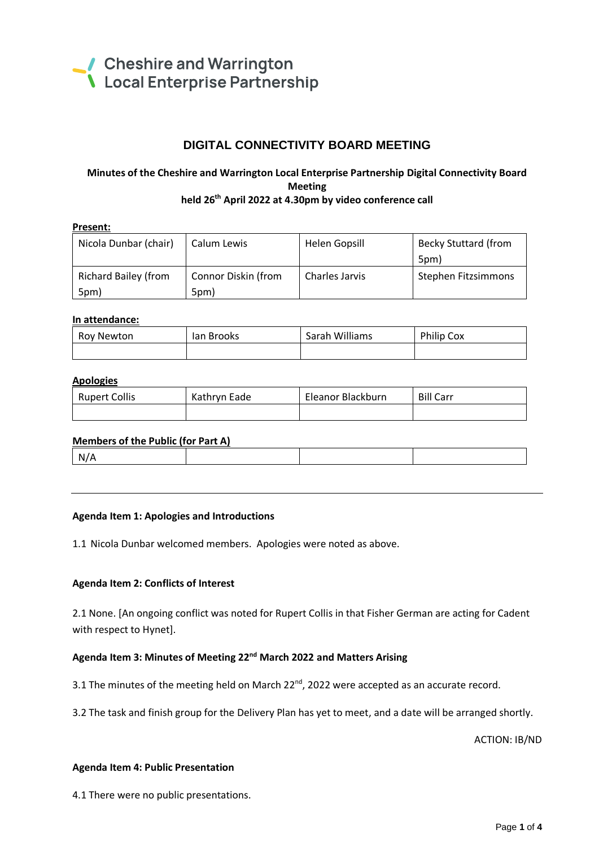

5pm)

# **DIGITAL CONNECTIVITY BOARD MEETING**

# **Minutes of the Cheshire and Warrington Local Enterprise Partnership Digital Connectivity Board Meeting held 26 th April 2022 at 4.30pm by video conference call**

| Present: |                             |                     |                |                             |  |  |
|----------|-----------------------------|---------------------|----------------|-----------------------------|--|--|
|          | Nicola Dunbar (chair)       | Calum Lewis         | Helen Gopsill  | <b>Becky Stuttard (from</b> |  |  |
|          |                             |                     |                | 5pm)                        |  |  |
|          | <b>Richard Bailey (from</b> | Connor Diskin (from | Charles Jarvis | Stephen Fitzsimmons         |  |  |

## **In attendance:**

5pm)

| Roy Newton | lan Brooks | Sarah Williams | Philip Cox |
|------------|------------|----------------|------------|
|            |            |                |            |

#### **Apologies**

| <b>Rupert Collis</b> | Kathryn Eade | Eleanor Blackburn | <b>Bill Carr</b> |
|----------------------|--------------|-------------------|------------------|
|                      |              |                   |                  |

| Members of the Public (for Part A) |  |  |  |  |  |  |  |
|------------------------------------|--|--|--|--|--|--|--|
| N/A                                |  |  |  |  |  |  |  |

#### **Agenda Item 1: Apologies and Introductions**

1.1 Nicola Dunbar welcomed members. Apologies were noted as above.

### **Agenda Item 2: Conflicts of Interest**

2.1 None. [An ongoing conflict was noted for Rupert Collis in that Fisher German are acting for Cadent with respect to Hynet].

### **Agenda Item 3: Minutes of Meeting 22nd March 2022 and Matters Arising**

3.1 The minutes of the meeting held on March 22 $^{nd}$ , 2022 were accepted as an accurate record.

3.2 The task and finish group for the Delivery Plan has yet to meet, and a date will be arranged shortly.

ACTION: IB/ND

#### **Agenda Item 4: Public Presentation**

4.1 There were no public presentations.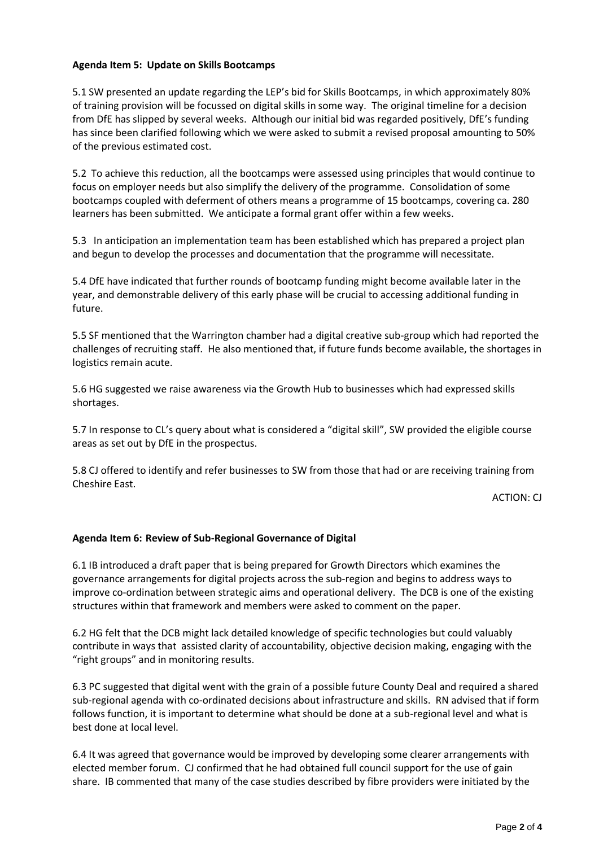## **Agenda Item 5: Update on Skills Bootcamps**

5.1 SW presented an update regarding the LEP's bid for Skills Bootcamps, in which approximately 80% of training provision will be focussed on digital skills in some way. The original timeline for a decision from DfE has slipped by several weeks. Although our initial bid was regarded positively, DfE's funding has since been clarified following which we were asked to submit a revised proposal amounting to 50% of the previous estimated cost.

5.2 To achieve this reduction, all the bootcamps were assessed using principles that would continue to focus on employer needs but also simplify the delivery of the programme. Consolidation of some bootcamps coupled with deferment of others means a programme of 15 bootcamps, covering ca. 280 learners has been submitted. We anticipate a formal grant offer within a few weeks.

5.3 In anticipation an implementation team has been established which has prepared a project plan and begun to develop the processes and documentation that the programme will necessitate.

5.4 DfE have indicated that further rounds of bootcamp funding might become available later in the year, and demonstrable delivery of this early phase will be crucial to accessing additional funding in future.

5.5 SF mentioned that the Warrington chamber had a digital creative sub-group which had reported the challenges of recruiting staff. He also mentioned that, if future funds become available, the shortages in logistics remain acute.

5.6 HG suggested we raise awareness via the Growth Hub to businesses which had expressed skills shortages.

5.7 In response to CL's query about what is considered a "digital skill", SW provided the eligible course areas as set out by DfE in the prospectus.

5.8 CJ offered to identify and refer businesses to SW from those that had or are receiving training from Cheshire East.

ACTION: CJ

### **Agenda Item 6: Review of Sub-Regional Governance of Digital**

6.1 IB introduced a draft paper that is being prepared for Growth Directors which examines the governance arrangements for digital projects across the sub-region and begins to address ways to improve co-ordination between strategic aims and operational delivery. The DCB is one of the existing structures within that framework and members were asked to comment on the paper.

6.2 HG felt that the DCB might lack detailed knowledge of specific technologies but could valuably contribute in ways that assisted clarity of accountability, objective decision making, engaging with the "right groups" and in monitoring results.

6.3 PC suggested that digital went with the grain of a possible future County Deal and required a shared sub-regional agenda with co-ordinated decisions about infrastructure and skills. RN advised that if form follows function, it is important to determine what should be done at a sub-regional level and what is best done at local level.

6.4 It was agreed that governance would be improved by developing some clearer arrangements with elected member forum. CJ confirmed that he had obtained full council support for the use of gain share. IB commented that many of the case studies described by fibre providers were initiated by the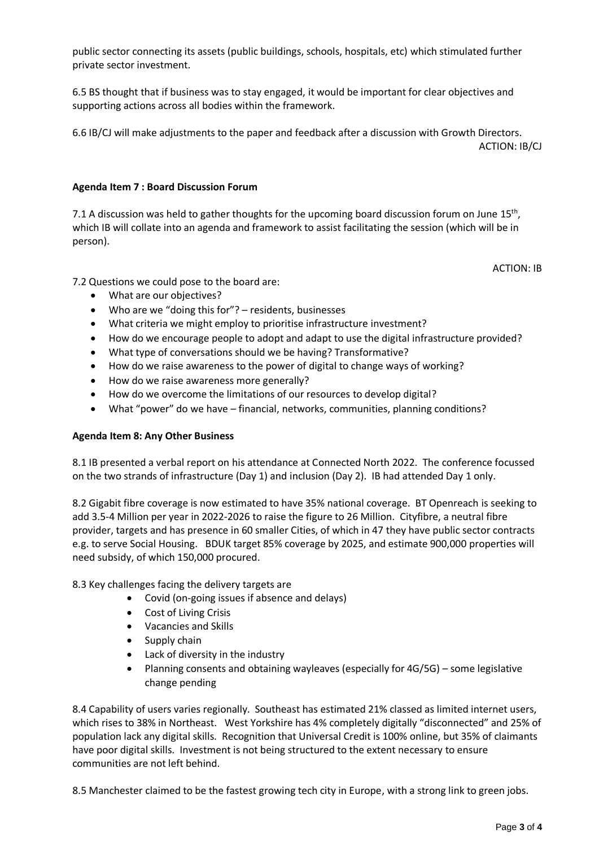public sector connecting its assets (public buildings, schools, hospitals, etc) which stimulated further private sector investment.

6.5 BS thought that if business was to stay engaged, it would be important for clear objectives and supporting actions across all bodies within the framework.

6.6 IB/CJ will make adjustments to the paper and feedback after a discussion with Growth Directors.

ACTION: IB/CJ

# **Agenda Item 7 : Board Discussion Forum**

7.1 A discussion was held to gather thoughts for the upcoming board discussion forum on June 15<sup>th</sup>, which IB will collate into an agenda and framework to assist facilitating the session (which will be in person).

ACTION: IB

7.2 Questions we could pose to the board are:

- What are our objectives?
- Who are we "doing this for"? residents, businesses
- What criteria we might employ to prioritise infrastructure investment?
- How do we encourage people to adopt and adapt to use the digital infrastructure provided?
- What type of conversations should we be having? Transformative?
- How do we raise awareness to the power of digital to change ways of working?
- How do we raise awareness more generally?
- How do we overcome the limitations of our resources to develop digital?
- What "power" do we have financial, networks, communities, planning conditions?

# **Agenda Item 8: Any Other Business**

8.1 IB presented a verbal report on his attendance at Connected North 2022. The conference focussed on the two strands of infrastructure (Day 1) and inclusion (Day 2). IB had attended Day 1 only.

8.2 Gigabit fibre coverage is now estimated to have 35% national coverage. BT Openreach is seeking to add 3.5-4 Million per year in 2022-2026 to raise the figure to 26 Million. Cityfibre, a neutral fibre provider, targets and has presence in 60 smaller Cities, of which in 47 they have public sector contracts e.g. to serve Social Housing. BDUK target 85% coverage by 2025, and estimate 900,000 properties will need subsidy, of which 150,000 procured.

8.3 Key challenges facing the delivery targets are

- Covid (on-going issues if absence and delays)
- Cost of Living Crisis
- Vacancies and Skills
- Supply chain
- Lack of diversity in the industry
- Planning consents and obtaining wayleaves (especially for 4G/5G) some legislative change pending

8.4 Capability of users varies regionally. Southeast has estimated 21% classed as limited internet users, which rises to 38% in Northeast. West Yorkshire has 4% completely digitally "disconnected" and 25% of population lack any digital skills. Recognition that Universal Credit is 100% online, but 35% of claimants have poor digital skills. Investment is not being structured to the extent necessary to ensure communities are not left behind.

8.5 Manchester claimed to be the fastest growing tech city in Europe, with a strong link to green jobs.